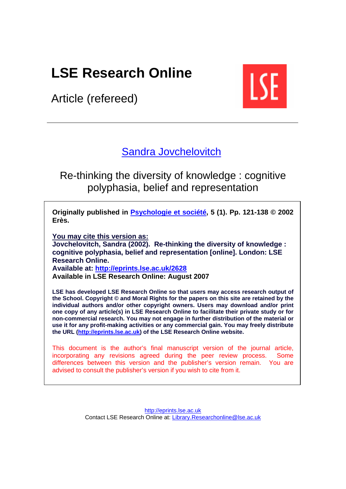# **LSE Research Online**

Article (refereed)



# [Sandra Jovchelovitch](http://www.lse.ac.uk/people/s.jovchelovitch@lse.ac.uk/)

Re-thinking the diversity of knowledge : cognitive polyphasia, belief and representation

**Originally published in [Psychologie et société](http://www.edition-eres.com/liste_evenements.php), 5 (1). Pp. 121-138 © 2002 Erès.** 

**You may cite this version as:** 

**Jovchelovitch, Sandra (2002). Re-thinking the diversity of knowledge : cognitive polyphasia, belief and representation [online]. London: LSE Research Online.** 

**Available at: http://eprints.lse.ac.uk/2628 Available in LSE Research Online: August 2007**

**LSE has developed LSE Research Online so that users may access research output of the School. Copyright © and Moral Rights for the papers on this site are retained by the individual authors and/or other copyright owners. Users may download and/or print one copy of any article(s) in LSE Research Online to facilitate their private study or for non-commercial research. You may not engage in further distribution of the material or use it for any profit-making activities or any commercial gain. You may freely distribute the URL [\(http://eprints.lse.ac.uk\)](http://eprints.lse.ac.uk/) of the LSE Research Online website.** 

This document is the author's final manuscript version of the journal article, incorporating any revisions agreed during the peer review process. Some differences between this version and the publisher's version remain. You are advised to consult the publisher's version if you wish to cite from it.

> [http://eprints.lse.ac.uk](http://eprints.lse.ac.uk/) Contact LSE Research Online at: [Library.Researchonline@lse.ac.uk](mailto:Library.Researchonline@lse.ac.uk)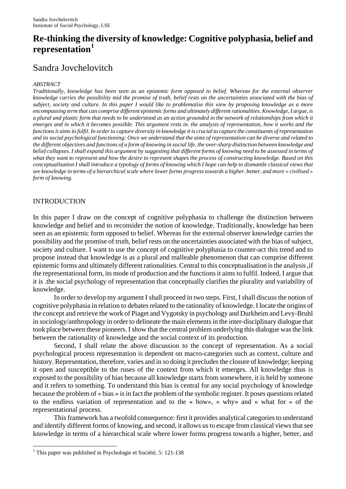# **Re-thinking the diversity of knowledge: Cognitive polyphasia, belief and representation[1](#page-1-0)**

# Sandra Jovchelovitch

#### *ABSTRACT*

*Traditionally, knowledge has been seen as an epistemic form opposed to belief. Whereas for the external observer knowledge carries the possibility mid the promise of truth, belief rests on the uncertainties associated with the bias of subject, society and culture. In this paper I would like to problematise this view by proposing knowledge as a more encompassing term that can comprise different epistemic forms and ultimately different rationalities. Knowledge, I argue, is a plural and plastic form that needs to be understood as an action grounded in the network of relationships from which it emerges and in which it becomes possible. This argument rests in. the analysis of representation, how it works and the functions it aims to fulfil. In order to capture diversity in knowledge it is crucial to capture the constituents of representation and its social psychological functioning: Once we understand that the aims of representation can be diverse and related to the different objectives and functions of a form of knowing in social life, the over-sharp distinction between knowledge and belief collapses. I shall expand this argument by suggesting that different forms of knowing need to be assessed in terms of what they want to represent and how the desire to represent shapes the process of constructing knowledge. Based on this conceptualisation I shall introduce a typology of forms of knowing which I hope can help to dismantle classical views that see knowledge in terms of a hierarchical scale where lower forms progress towards a higher. better, and more « civilised » form of knowing.* 

#### INTRODUCTION

 $\overline{a}$ 

In this paper I draw on the concept of cognitive polyphasia to challenge the distinction between knowledge and belief and to reconsider the notion of knowledge. Traditionally, knowledge has been seen as an epistemic form opposed to belief. Whereas for the external observer knowledge carries the possibility and the promise of truth, belief rests on the uncertainties associated with the bias of subject, society and culture. I want to use the concept of cognitive polyphasia to counter-act this trend and to propose instead that knowledge is as a plural and malleable phenomenon that can comprise different epistemic forms and ultimately different rationalities. Central to this conceptualisation is the analysis ,if the representational form, its mode of production and the functions it aims to fulfil. Indeed, I argue that it is .the social psychology of representation that conceptually clarifies the plurality and variability of knowledge.

In order to develop my argument I shall proceed in two steps. First, I shall discuss the notion of cognitive polyphasia in relation to debates related to the rationality of knowledge. I locate the origins of the concept and retrieve the work of Piaget and Vygotsky in psychology and Durkheim and Levy-Bruhl in sociology/anthropology in order to delineate the main elements in the inter-disciplinary dialogue that took place between these pioneers. I show that the central problem underlying this dialogue was the link between the rationality of knowledge and the social context of its production.

Second, I shall relate the above discussion to the concept of representation. As a social psychological process representation is dependent on macro-categories such as context, culture and history. Representation, therefore, varies and in so doing it precludes the closure of knowledge; keeping it open and susceptible to the ruses of the context from which it emerges. All knowledge thus is exposed to the possibility of bias because all knowledge starts from somewhere, it is held by someone and it refers to something. To understand this bias is central for any social psychology of knowledge because the problem of « bias » is in fact the problem of the symbolic register. It poses questions related to the endless variation of representation and to the « how», « why» and « what for » of the representational process.

This framework has a twofold consequence: first it provides analytical categories to understand and identify different forms of knowing, and second, it allows us to escape from classical views that see knowledge in terms of a hierarchical scale where lower forms progress towards a higher, better, and

<span id="page-1-0"></span><sup>&</sup>lt;sup>1</sup> This paper was published in Psychologie et Société, 5: 121-138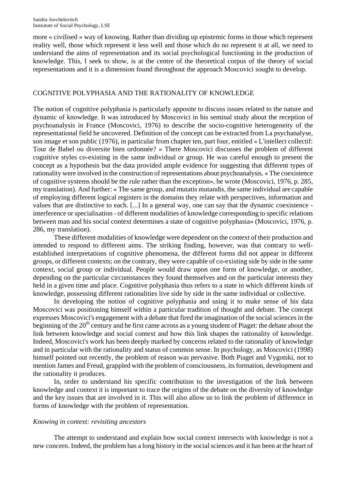more « civilised » way of knowing. Rather than dividing up epistemic forms in those which represent reality well, those which represent it less well and those which do no represent it at all, we need to understand the aims of representation and its social psychological functioning in the production of knowledge. This, I seek to show, is at the centre of the theoretical corpus of the theory of social representations and it is a dimension found throughout the approach Moscovici sought to develop.

## COGNITIVE POLYPHASIA AND THE RATIONALITY OF KNOWLEDGE

The notion of cognitive polyphasia is particularly apposite to discuss issues related to the nature and dynamic of knowledge. It was introduced by Moscovici in his seminal study about the reception of psychoanalysis in France (Moscovici, 1976) to describe the socio-cognitive heterogeneity of the representational field he uncovered. Definition of the concept can be extracted from La psychanalyse, son image et son public (1976), in particular from chapter ten, part four, entitled « L'intellect collectif: Tour de Babel ou diversite bien ordonnée? » There Moscovici discusses the problem of different cognitive styles co-existing in the same individual or group. He was careful enough to present the concept as a hypothesis but the data provided ample evidence for suggesting that different types of rationality were involved in the construction of representations about psychoanalysis. « The coexistence of cognitive systems should be the rule rather than the exception», he wrote (Moscovici, 1976, p. 285, my translation). And further: « The same group, and mutatis mutandis, the same individual are capable of employing different logical registers in the domains they relate with perspectives, information and values that are distinctive to each. [...] In a general way, one can say that the dynamic coexistence interference or specialisation - of different modalities of knowledge corresponding to specific relations between man and his social context determines a state of cognitive polyphasia» (Moscovici, 1976, p. 286, my translation).

These different modalities of knowledge were dependent on the context of their production and intended to respond to different aims. The striking finding, however, was that contrary to wellestablished interpretations of cognitive phenomena, the different forms did not appear in different groups, or different contexts; on the contrary, they were capable of co-existing side by side in the same context, social group or individual. People would draw upon one form of knowledge, or another, depending on the particular circumstances they found themselves and on the particular interests they held in a given time and place. Cognitive polyphasia thus refers to a state in which different kinds of knowledge, possessing different rationalities live side by side in the same individual or collective.

In developing the notion of cognitive polyphasia and using it to make sense of his data Moscovici was positioning himself within a particular tradition of thought and debate. The concept expresses Moscovici's engagement with a debate that fired the imagination of the social sciences in the beginning of the  $20<sup>th</sup>$  century and he first came across as a young student of Piaget: the debate about the link between knowledge and social context and how this link shapes the rationality of knowledge. Indeed, Moscovici's work has been deeply marked by concerns related to the rationality of knowledge and in particular with the rationality and status of common sense. In psychology, as Moscovici (1998) himself pointed out recently, the problem of reason was pervasive. Both Piaget and Vygotski, not to mention James and Freud, grappled with the problem of consciousness, its formation, development and the rationality it produces.

In, order to understand his specific contribution to the investigation of the link between knowledge and context it is important to trace the origins of the debate on the diversity of knowledge and the key issues that are involved in it. This will also allow us to link the problem of difference in forms of knowledge with the problem of representation.

#### *Knowing in context: revisiting ancestors*

The attempt to understand and explain how social context intersects with knowledge is not a new concern. Indeed, the problem has a long history in the social sciences and it has been at the heart of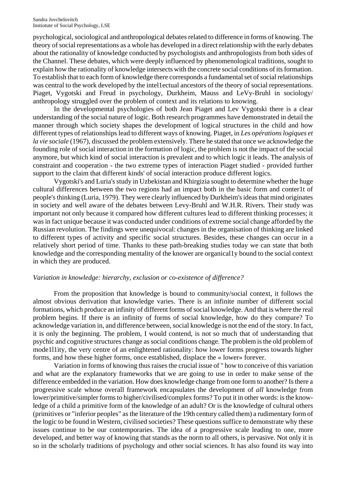psychological, sociological and anthropological debates related to difference in forms of knowing. The theory of social representations as a whole has developed in a direct relationship with the early debates about the rationality of knowledge conducted by psychologists and anthropologists from both sides of the Channel. These debates, which were deeply influenced by phenomenological traditions, sought to explain how the rationality of knowledge intersects with the concrete social conditions of its formation. To establish that to each form of knowledge there corresponds a fundamental set of social relationships was central to the work developed by the intel1ectual ancestors of the theory of social representations. Piaget, Vygotski and Freud in psychology, Durkheim, Mauss and LeVy-Bruhl in sociology/ anthropology struggled over the problem of context and its relations to knowing.

In the developmental psychologies of both Jean Piaget and Lev Vygotski there is a clear understanding of the social nature of logic. Both research programmes have demonstrated in detail the manner through which society shapes the development of logical structures in the child and how different types of relationships lead to different ways of knowing. Piaget, in *Les opérations logiques et la vie sociale* (1967), discussed the problem extensively. There he stated that once we acknowledge the founding role of social interaction in the formation of logic, the problem is not the impact of the social anymore, but which kind of social interaction is prevalent and to which logic it leads. The analysis of constraint and cooperation - the two extreme types of interaction Piaget studied - provided further support to the claim that different kinds' of social interaction produce different logics.

Vygotski's and Luria's study in Uzbekistan and Khirgizia sought to determine whether the huge cultural differences between the two regions had an impact both in the basic form and conter1t of people's thinking (Luria, 1979). They were clearly influenced by Durkheim's ideas that mind originates in society and well aware of the debates between Levy-Bruhl and W.H.R. Rivers. Their study was important not only because it compared how different cultures lead to different thinking processes; it was in fact unique because it was conducted under conditions of extreme social change afforded by the Russian revolution. The findings were unequivocal: changes in the organisation of thinking are linked to different types of activity and specific social structures. Besides, these changes can occur in a relatively short period of time. Thanks to these path-breaking studies today we can state that both knowledge and the corresponding mentality of the knower are organical1y bound to the social context in which they are produced.

#### *Variation in knowledge: hierarchy, exclusion or co-existence of difference?*

From the proposition that knowledge is bound to community/social context, it follows the almost obvious derivation that knowledge varies. There is an infinite number of different social formations, which produce an infinity of different forms of social knowledge. And that is where the real problem begins. If there is an infinity of forms of social knowledge, how do they compare? To acknowledge variation in, and difference between, social knowledge is not the end of the story. In fact, it is only the beginning. The problem, I would contend, is not so much that of understanding that psychic and cognitive structures change as social conditions change. The problem is the old problem of mode1l1ity, the very centre of an enlightened rationality: how lower forms progress towards higher forms, and how these higher forms, once established, displace the « lower» forever.

Variation in forms of knowing thus raises the crucial issue of " how to conceive of this variation and what are the explanatory frameworks that we are going to use in order to make sense of the difference embedded in the variation. How does knowledge change from one form to another? Is there a progressive scale whose overall framework encapsulates the development of *all* knowledge from lower/primitive/simpler forms to higher/civilised/complex forms? To put it in other words: is the knowledge of a child a primitive form of the knowledge of an adult? Or is the knowledge of cultural others (primitives or "inferior peoples" as the literature of the 19th century called them) a rudimentary form of the logic to be found in Western, civilised societies? These questions suffice to demonstrate why these issues continue to be our contemporaries. The idea of a progressive scale leading to one, more developed, and better way of knowing that stands as the norm to all others, is pervasive. Not only it is so in the scholarly traditions of psychology and other social sciences. It has also found its way into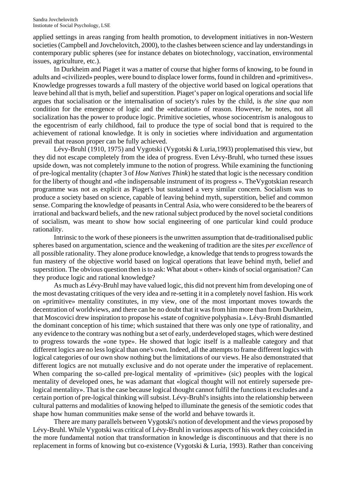applied settings in areas ranging from health promotion, to development initiatives in non-Western societies (Campbell and Jovchelovitch, 2000), to the clashes between science and lay understandings in contemporary public spheres (see for instance debates on biotechnology, vaccination, environmental issues, agriculture, etc.).

In Durkheim and Piaget it was a matter of course that higher forms of knowing, to be found in adults and «civilized» peoples, were bound to displace lower forms, found in children and «primitives». Knowledge progresses towards a full mastery of the objective world based on logical operations that leave behind all that is myth, belief and superstition. Piaget's paper on logical operations and social life argues that socialisation or the internalisation of society's rules by the child, is *the sine qua non* condition for the emergence of logic and the «education» of reason. However, he notes, not all socialization has the power to produce logic. Primitive societies, whose sociocentrism is analogous to the egocentrism of early childhood, fail to produce the type of social bond that is required to the achievement of rational knowledge. It is only in societies where individuation and argumentation prevail that reason proper can be fully achieved.

Lévy-Bruhl (1910, 1975) and Vygotski (Vygotski & Luria,1993) proplematised this view, but they did not escape completely from the idea of progress. Even Lévy-Bruhl, who turned these issues upside down, was not completely immune to the notion of progress. While examining the functioning of pre-logical mentality (chapter 3 of *How Natives Think*) he stated that logic is the necessary condition for the liberty of thought and «the indispensable instrument of its progress ». TheVygotskian research programme was not as explicit as Piaget's but sustained a very similar concern. Socialism was to produce a society based on science, capable of leaving behind myth, superstition, belief and common sense. Comparing the knowledge of peasants in Central Asia, who were considered to be the bearers of irrational and backward beliefs, and the new rational subject produced by the novel societal conditions of socialism, was meant to show how social engineering of one particular kind could produce rationality.

Intrinsic to the work of these pioneers is the unwritten assumption that de-traditionalised public spheres based on argumentation, science and the weakening of tradition are the sites *per excellence* of all possible rationality. They alone produce knowledge, a knowledge that tends to progress towards the fun mastery of the objective world based on logical operations that leave behind myth, belief and superstition. The obvious question then is to ask: What about « other» kinds of social organisation? Can they produce logic and rational knowledge?

As much as Lévy-Bruhl may have valued logic, this did not prevent him from developing one of the most devastating critiques of the very idea and re-setting it in a completely novel fashion. His work on «primitive» mentality constitutes, in my view, one of the most important moves towards the decentration of worldviews, and there can be no doubt that it was from him more than from Durkheim, that Moscovici drew inspiration to propose his «state of cognitive polyphasia ». Lévy-Bruhl dismantled the dominant conception of his time; which sustained that there was only one type of rationality, and any evidence to the contrary was nothing but a set of early, underdeveloped stages, which were destined to progress towards the «one type». He showed that logic itself is a malleable category and that different logics are no less logical than one's own. Indeed, all the attempts to frame different logics with logical categories of our own show nothing but the limitations of our views. He also demonstrated that different logics are not mutually exclusive and do not operate under the imperative of replacement. When comparing the so-called pre-logical mentality of «primitive» (sic) peoples with the logical mentality of developed ones, he was adamant that «logical thought will not entirely supersede prelogical mentality». That is the case because logical thought cannot fulfil the functions it excludes and a certain portion of pre-logical thinking will subsist. Lévy-Bruhl's insights into the relationship between cultural patterns and modalities of knowing helped to illuminate the genesis of the semiotic codes that shape how human communities make sense of the world and behave towards it.

There are many parallels between Vygotski's notion of development and the views proposed by Lévy-Bruhl. While Vygotski was critical of Lévy-Bruhl in various aspects of his work they coincided in the more fundamental notion that transformation in knowledge is discontinuous and that there is no replacement in forms of knowing but co-existence (Vygotski & Luria, 1993). Rather than conceiving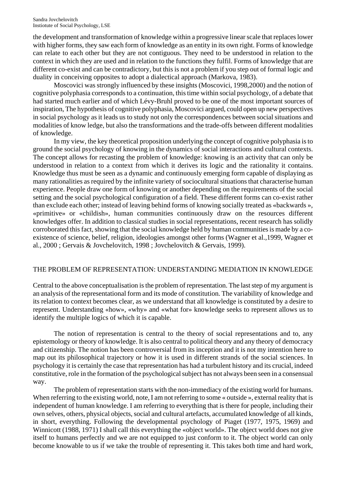the development and transformation of knowledge within a progressive linear scale that replaces lower with higher forms, they saw each form of knowledge as an entity in its own right. Forms of knowledge can relate to each other but they are not contiguous. They need to be understood in relation to the context in which they are used and in relation to the functions they fulfil. Forms of knowledge that are different co-exist and can be contradictory, but this is not a problem if you step out of formal logic and duality in conceiving opposites to adopt a dialectical approach (Markova, 1983).

Moscovici was strongly influenced by these insights (Moscovici, 1998,2000) and the notion of cognitive polyphasia corresponds to a continuation, this time within social psychology, of a debate that had started much earlier and of which Lévy-Bruhl proved to be one of the most important sources of inspiration, The hypothesis of cognitive polyphasia, Moscovici argued, could open up new perspectives in social psychology as it leads us to study not only the correspondences between social situations and modalities of know ledge, but also the transformations and the trade-offs between different modalities of knowledge.

In my view, the key theoretical proposition underlying the concept of cognitive polyphasia is to ground the social psychology of knowing in the dynamics of social interactions and cultural contexts. The concept allows for recasting the problem of knowledge: knowing is an activity that can only be understood in relation to a context from which it derives its logic and the rationality it contains. Knowledge thus must be seen as a dynamic and continuously emerging form capable of displaying as many rationalities as required by the infinite variety of sociocultural situations that characterise human experience. People draw one form of knowing or another depending on the requirements of the social setting and the social psychological configuration of a field. These different forms can co-exist rather than exclude each other; instead of leaving behind forms of knowing socially treated as «backwards », «primitive» or «childish», human communities continuously draw on the resources different knowledges offer. In addition to classical studies in social representations, recent research has solidly corroborated this fact, showing that the social knowledge held by human communities is made by a coexistence of science, belief, religion, ideologies amongst other forms (Wagner et al.,1999, Wagner et al., 2000 ; Gervais & Jovchelovitch, 1998 ; Jovchelovitch & Gervais, 1999).

## THE PROBLEM OF REPRESENTATION: UNDERSTANDING MEDIATION IN KNOWLEDGE

Central to the above conceptualisation is the problem of representation. The last step of my argument is an analysis of the representational form and its mode of constitution. The variability of knowledge and its relation to context becomes clear, as we understand that all knowledge is constituted by a desire to represent. Understanding «how», «why» and «what for» knowledge seeks to represent allows us to identify the multiple logics of which it is capable.

The notion of representation is central to the theory of social representations and to, any epistemology or theory of knowledge. It is also central to political theory and any theory of democracy and citizenship. The notion has been controversial from its inception and it is not my intention here to map out its philosophical trajectory or how it is used in different strands of the social sciences. In psychology it is certainly the case that representation has had a turbulent history and its crucial, indeed constitutive, role in the formation of the psychological subject has not always been seen in a consensual way.

The problem of representation starts with the non-immediacy of the existing world for humans. When referring to the existing world, note, I am not referring to some « outside », external reality that is independent of human knowledge. I am referring to everything that is there for people, including their own selves, others, physical objects, social and cultural artefacts, accumulated knowledge of all kinds, in short, everything. Following the developmental psychology of Piaget (1977, 1975, 1969) and Winnicott (1988, 1971) I shall call this everything the «object world». The object world does not give itself to humans perfectly and we are not equipped to just conform to it. The object world can only become knowable to us if we take the trouble of representing it. This takes both time and hard work,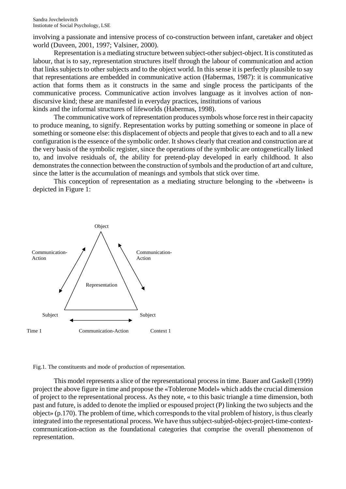involving a passionate and intensive process of co-construction between infant, caretaker and object world (Duveen, 2001, 1997; Valsiner, 2000).

Representation is a mediating structure between subject-other subject-object. It is constituted as labour, that is to say, representation structures itself through the labour of communication and action that links subjects to other subjects and to the object world. In this sense it is perfectly plausible to say that representations are embedded in communicative action (Habermas, 1987): it is communicative action that forms them as it constructs in the same and single process the participants of the communicative process. Communicative action involves language as it involves action of nondiscursive kind; these are manifested in everyday practices, institutions of various kinds and the informal structures of lifeworlds (Habermas, 1998).

The communicative work of representation produces symbols whose force rest in their capacity to produce meaning, to signify. Representation works by putting something or someone in place of something or someone else: this displacement of objects and people that gives to each and to all a new configuration is the essence of the symbolic order. It shows clearly that creation and construction are at the very basis of the symbolic register, since the operations of the symbolic are ontogenetically linked to, and involve residuals of, the ability for pretend-play developed in early childhood. It also demonstrates the connection between the construction of symbols and the production of art and culture, since the latter is the accumulation of meanings and symbols that stick over time.

This conception of representation as a mediating structure belonging to the «between» is depicted in Figure 1:



Fig.1. The constituents and mode of production of representation.

This model represents a slice of the representational process in time. Bauer and Gaskell (1999) project the above figure in time and propose the «Toblerone Model» which adds the crucial dimension of project to the representational process. As they note, « to this basic triangle a time dimension, both past and future, is added to denote the implied or espoused project (P) linking the two subjects and the object» (p.170). The problem of time, which corresponds to the vital problem of history, is thus clearly integrated into the representational process. We have thus subject-subjed-object-project-time-contextcomrnunication-action as the foundational categories that comprise the overall phenomenon of representation.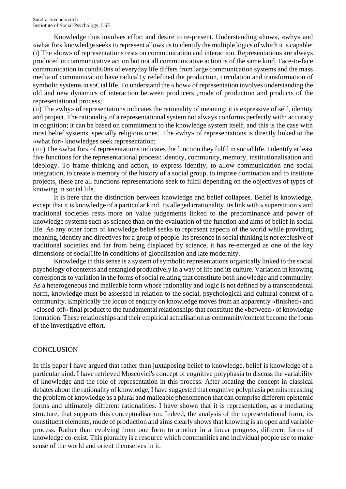Knowledge thus involves effort and desire to re-present. Understanding «how», «why» and «what for» knowledge seeks to represent allows us to identify the multiple logics of which it is capable: (i) The «how» of representations rests on communication and interaction. Representations are always produced in communicative action but not all communicative action is of the same kind. Face-to-face communication in condi60ns of everyday life differs from large communication systems and the mass media of communication have radical1y redefined the production, circulation and transformation of symbolic systems in soCial life. To understand the « how» of representation involves understanding the old and new dynamics of interaction between producers ,mode of production and products of the representational process;

(ii) The «why» of representations indicates the rationality of meaning: it is expressive of self, identity and project. The rationality of a representational system not always conforms perfectly with: accuracy in cognition; it can be based on commitment to the knowledge system itself, and this is the case with most belief systems, specially religious ones.. The «why» of representations is directly linked to the «what for» knowledges seek representation;

(iiii) The «what for» of representations indicates the function they fulfil in social life. I identify at least five functions for the representational process: identity, community, memory, institutionalisation and ideology. To frame thinking and action, to express identity, to allow communication and social integration, to create a memory of the history of a social group, to impose domination and to institute projects, these are all functions representations seek to fulfil depending on the objectives of types of knowing in social life.

It is here that the distinction between knowledge and belief collapses. Belief is knowledge, except that it is knowledge of a particular kind. Its alleged irrationality, its link with « superstition » and traditional societies rests more on value judgements linked to the predominance and power of knowledge systems such as science than on the evaluation of the function and aims of belief in social life. As any other form of knowledge belief seeks to represent aspects of the world while providing meaning, identity and directives for a group of people. Its presence in social thinking is not exclusive of traditional societies and far from being displaced by science, it has re-emerged as one of the key dimensions of social1ife in conditions of globalisation and late modernity.

Knowledge in this sense is a system of symbolic representations organically linked to the social psychology of contexts and entangled productively in a way of life and its culture. Variation in knowing corresponds to variation in the forms of social relating that constitute both knowledge and community. As a heterogeneous and malleable form whose rationality and logic is not defined by a transcendental norm, knowledge must be assessed in relation to the social, psychological and cultural context of a community. Empirically the locus of enquiry on knowledge moves from an apparently «finished» and «closed-off» final product to the fundamental relationships that constitute the «between» of knowledge formation. These relationships and their empirical actualisation as community/context become the focus of the investigative effort.

## **CONCLUSION**

In this paper I have argued that rather than juxtaposing belief to knowledge, belief is knowledge of a particular kind. I have retrieved Moscovici's concept of cognitive polyphasia to discuss the variability of knowledge and the role of representation in this process. After locating the concept in classical debates about the rationality of knowledge, I have suggested that cognitive polyphasia permits recasting the problem of knowledge as a plural and malleable phenomenon that can comprise different epistemic forms and ultimately different rationalities. I have shown that it is representation, as a mediating structure, that supports this conceptualisation. Indeed, the analysis of the representational form, its constituent elements, mode of production and aims clearly shows that knowing is an open and variable process. Rather than evolving from one form to another in a linear progress, different forms of knowledge co-exist. This plurality is a resource which communities and individual people use to make sense of the world and orient themselves in it.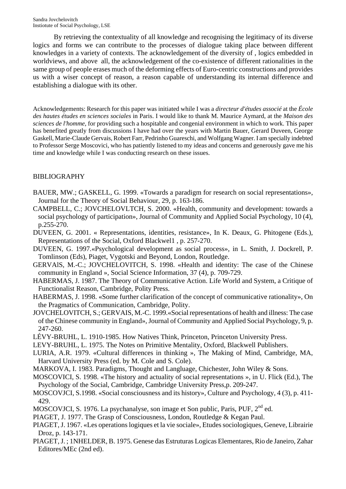By retrieving the contextuality of all knowledge and recognising the legitimacy of its diverse logics and forms we can contribute to the processes of dialogue taking place between different knowledges in a variety of contexts. The acknowledgement of the diversity of , logics embedded in worldviews, and above all, the acknowledgement of the co-existence of different rationalities in the same group of people erases much of the deforming effects of Euro-centric constructions and provides us with a wiser concept of reason, a reason capable of understanding its internal difference and establishing a dialogue with its other.

Acknowledgements: Research for this paper was initiated while I was a *directeur d'études associé* at the *École des hautes études en sciences sociales* in Paris. I would like to thank M. Maurice Aymard, at the *Maison des sciences de l'homme*, for providing such a hospitable and congenial environment in which to work. This paper has benefited greatly from discussions I have had over the years with Martin Bauer, Gerard Duveen, George Gaskell, Marie-Claude Gervais, Robert Farr, Pedrinho Guareschi, and Wolfgang Wagner. I am specially indebted to Professor Serge Moscovici, who has patiently listened to my ideas and concerns and generously gave me his time and knowledge while I was conducting research on these issues.

## BIBLIOGRAPHY

- BAUER, MW.; GASKELL, G. 1999. «Towards a paradigm for research on social representations», Journal for the Theory of Social Behaviour, 29, p. 163-186.
- CAMPBELL, C.; JOVCHELOVLTCH, S. 2000. «Health, community and development: towards a social psychology of participation», Journal of Community and Applied Social Psychology, 10 (4), p.255-270.
- DUVEEN, G. 2001. « Representations, identities, resistance», In K. Deaux, G. Phitogene (Eds.), Representations of the Social, Oxford Blackwel1 , p. 257-270.
- DUVEEN, G. 1997.«Psychological development as social process», in L. Smith, J. Dockrell, P. Tomlinson (Eds), Piaget, Vygotski and Beyond, London, Routledge.
- GERVAlS, M.-C.; JOVCHELOVITCH, S. 1998. «Health and identity: The case of the Chinese community in England », Social Science Information, 37 (4), p. 709-729.
- HABERMAS, J. 1987. The Theory of Communicative Action. Life World and System, a Critique of Functionalist Reason, Cambridge, Polity Press.
- HABERMAS, J. 1998. «Some further clarification of the concept of communicative rationality», On the Pragmatics of Communication, Cambridge, Polity.
- JOVCHELOVITCH, S.; GERVAIS, M.-C. 1999.«Social representations of health and illness: The case of the Chinese community in England», Journal of Community and Applied Social Psychology, 9, p. 247-260.
- LÉVY-BRUHL, L. 1910-1985. How Natives Think, Princeton, Princeton University Press.
- LEVY-BRUHL, L. 1975. The Notes on Primitive Mentality, Oxford, Blackwell Publishers.
- LURIA, A.R. 1979. «Cultural differences in thinking », The Making of Mind, Cambridge, MA, Harvard University Press (ed. by M. Cole and S. Cole).
- MARKOVA, I. 1983. Paradigms, Thought and Langluage, Chichester, John Wiley & Sons.
- MOSCOVICI, S. 1998. «The history and actuality of social representations », in U. Flick (Ed.), The Psychology of the Social, Cambridge, Cambridge University Press,p. 209-247.
- MOSCOVJCI, S.1998. «Social consciousness and its history», Culture and Psychology, 4 (3), p. 411- 429.
- MOSCOVJCI, S. 1976. La psychanalyse, son image et Son public, Paris, PUF, 2<sup>nd</sup> ed.
- PIAGET, J. 1977. The Grasp of Consciousness, London, Routledge & Kegan Paul.
- PIAGET, J. 1967. «Les operations logiques et la vie sociale», Etudes sociologiques, Geneve, Librairie Droz, p. 143-171.
- PIAGET, J. ; 1NHELDER, B. 1975. Genese das Estruturas Logicas Elementares, Rio de Janeiro, Zahar Editores/MEc (2nd ed).